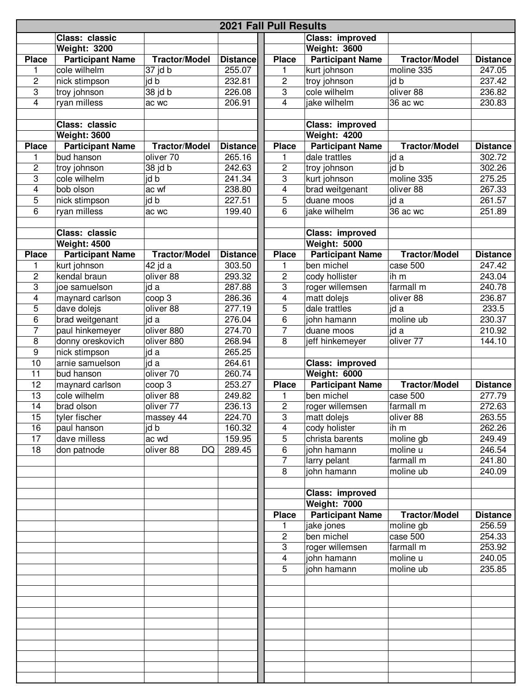| <b>2021 Fall Pull Results</b> |                         |                      |                 |                |                         |                      |                 |  |  |  |
|-------------------------------|-------------------------|----------------------|-----------------|----------------|-------------------------|----------------------|-----------------|--|--|--|
|                               | Class: classic          |                      |                 |                | Class: improved         |                      |                 |  |  |  |
|                               | <b>Weight: 3200</b>     |                      |                 |                | <b>Weight: 3600</b>     |                      |                 |  |  |  |
| <b>Place</b>                  | <b>Participant Name</b> | <b>Tractor/Model</b> | <b>Distance</b> | <b>Place</b>   | <b>Participant Name</b> | <b>Tractor/Model</b> | <b>Distance</b> |  |  |  |
| 1                             | cole wilhelm            | 37 jd b              | 255.07          | 1              | kurt johnson            | moline 335           | 247.05          |  |  |  |
| 2                             | nick stimpson           | jd b                 | 232.81          | 2              | troy johnson            | jd b                 | 237.42          |  |  |  |
| 3                             | troy johnson            | 38 jd b              | 226.08          | 3              | cole wilhelm            | oliver 88            | 236.82          |  |  |  |
| 4                             | ryan milless            | ac wc                | 206.91          | $\overline{4}$ | jake wilhelm            | 36 ac wc             | 230.83          |  |  |  |
|                               |                         |                      |                 |                |                         |                      |                 |  |  |  |
|                               | Class: classic          |                      |                 |                | Class: improved         |                      |                 |  |  |  |
|                               | <b>Weight: 3600</b>     |                      |                 |                | <b>Weight: 4200</b>     |                      |                 |  |  |  |
| <b>Place</b>                  | <b>Participant Name</b> | <b>Tractor/Model</b> | <b>Distance</b> | <b>Place</b>   | <b>Participant Name</b> | <b>Tractor/Model</b> | <b>Distance</b> |  |  |  |
| 1                             | bud hanson              | oliver 70            | 265.16          | 1              | dale trattles           | jd a                 | 302.72          |  |  |  |
| 2                             | troy johnson            | 38 jd b              | 242.63          | 2              | troy johnson            | id b                 | 302.26          |  |  |  |
| 3                             | cole wilhelm            | id b                 | 241.34          | 3              | kurt johnson            | moline 335           | 275.25          |  |  |  |
| 4                             | bob olson               | ac wf                | 238.80          | 4              | brad weitgenant         | oliver 88            | 267.33          |  |  |  |
| 5                             | nick stimpson           | jd b                 | 227.51          | 5              | duane moos              | id a                 | 261.57          |  |  |  |
| 6                             | ryan milless            | ac wc                | 199.40          | 6              | jake wilhelm            | 36 ac wc             | 251.89          |  |  |  |
|                               |                         |                      |                 |                |                         |                      |                 |  |  |  |
|                               | Class: classic          |                      |                 |                | Class: improved         |                      |                 |  |  |  |
|                               | <b>Weight: 4500</b>     |                      |                 |                | <b>Weight: 5000</b>     |                      |                 |  |  |  |
| <b>Place</b>                  | <b>Participant Name</b> | <b>Tractor/Model</b> | <b>Distance</b> | <b>Place</b>   | <b>Participant Name</b> | <b>Tractor/Model</b> | <b>Distance</b> |  |  |  |
| 1                             | kurt johnson            | 42 jd a              | 303.50          | 1              | ben michel              | case 500             | 247.42          |  |  |  |
| 2                             | kendal braun            | oliver 88            | 293.32          | 2              | cody hollister          | ih m                 | 243.04          |  |  |  |
| 3                             | joe samuelson           | jd a                 | 287.88          | 3              | roger willemsen         | farmall m            | 240.78          |  |  |  |
| 4                             | maynard carlson         | coop 3               | 286.36          | 4              | matt dolejs             | oliver 88            | 236.87          |  |  |  |
| 5                             | dave dolejs             | oliver 88            | 277.19          | $\overline{5}$ | dale trattles           | jd a                 | 233.5           |  |  |  |
| 6                             | brad weitgenant         | jd a                 | 276.04          | 6              | john hamann             | moline ub            | 230.37          |  |  |  |
| 7                             | paul hinkemeyer         | oliver 880           | 274.70          | 7              | duane moos              | jd a                 | 210.92          |  |  |  |
| 8                             | donny oreskovich        | oliver 880           | 268.94          | 8              | jeff hinkemeyer         | oliver 77            | 144.10          |  |  |  |
| 9                             | nick stimpson           | jd a                 | 265.25          |                |                         |                      |                 |  |  |  |
| 10                            | arnie samuelson         | id a                 | 264.61          |                | Class: improved         |                      |                 |  |  |  |
| 11                            | bud hanson              | oliver 70            | 260.74          |                | <b>Weight: 6000</b>     |                      |                 |  |  |  |
| 12                            | maynard carlson         | coop 3               | 253.27          | <b>Place</b>   | <b>Participant Name</b> | <b>Tractor/Model</b> | <b>Distance</b> |  |  |  |
| 13                            | cole wilhelm            | oliver 88            | 249.82          | 1              | ben michel              | case 500             | 277.79          |  |  |  |
| 14                            | brad olson              | oliver 77            | 236.13          | $\overline{c}$ | roger willemsen         | farmall m            | 272.63          |  |  |  |
| 15                            | tyler fischer           | massey 44            | 224.70          | 3              | matt dolejs             | oliver 88            | 263.55          |  |  |  |
| 16                            | paul hanson             | id b                 | 160.32          | $\overline{4}$ | cody holister           | ih m                 | 262.26          |  |  |  |
| 17                            | dave milless            | ac wd                | 159.95          | 5              | christa barents         | moline gb            | 249.49          |  |  |  |
| 18                            | don patnode             | oliver 88<br>DQ      | 289.45          | 6              | john hamann             | moline u             | 246.54          |  |  |  |
|                               |                         |                      |                 | $\overline{7}$ | larry pelant            | farmall m            | 241.80          |  |  |  |
|                               |                         |                      |                 | 8              | john hamann             | moline ub            | 240.09          |  |  |  |
|                               |                         |                      |                 |                |                         |                      |                 |  |  |  |
|                               |                         |                      |                 |                |                         |                      |                 |  |  |  |
|                               |                         |                      |                 |                | Class: improved         |                      |                 |  |  |  |
|                               |                         |                      |                 |                | Weight: 7000            |                      |                 |  |  |  |
|                               |                         |                      |                 | <b>Place</b>   | <b>Participant Name</b> | <b>Tractor/Model</b> | <b>Distance</b> |  |  |  |
|                               |                         |                      |                 | 1              | jake jones              | moline gb            | 256.59          |  |  |  |
|                               |                         |                      |                 | 2              | ben michel              | case 500             | 254.33          |  |  |  |
|                               |                         |                      |                 | 3              | roger willemsen         | farmall m            | 253.92          |  |  |  |
|                               |                         |                      |                 | $\overline{4}$ | john hamann             | moline u             | 240.05          |  |  |  |
|                               |                         |                      |                 | 5              | john hamann             | moline ub            | 235.85          |  |  |  |
|                               |                         |                      |                 |                |                         |                      |                 |  |  |  |
|                               |                         |                      |                 |                |                         |                      |                 |  |  |  |
|                               |                         |                      |                 |                |                         |                      |                 |  |  |  |
|                               |                         |                      |                 |                |                         |                      |                 |  |  |  |
|                               |                         |                      |                 |                |                         |                      |                 |  |  |  |
|                               |                         |                      |                 |                |                         |                      |                 |  |  |  |
|                               |                         |                      |                 |                |                         |                      |                 |  |  |  |
|                               |                         |                      |                 |                |                         |                      |                 |  |  |  |
|                               |                         |                      |                 |                |                         |                      |                 |  |  |  |
|                               |                         |                      |                 |                |                         |                      |                 |  |  |  |